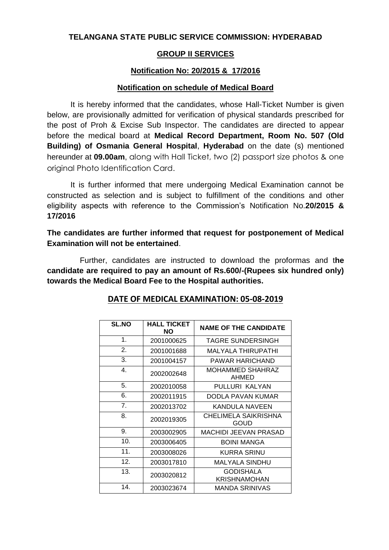### **TELANGANA STATE PUBLIC SERVICE COMMISSION: HYDERABAD**

### **GROUP II SERVICES**

## **Notification No: 20/2015 & 17/2016**

#### **Notification on schedule of Medical Board**

It is hereby informed that the candidates, whose Hall-Ticket Number is given below, are provisionally admitted for verification of physical standards prescribed for the post of Proh & Excise Sub Inspector. The candidates are directed to appear before the medical board at **Medical Record Department, Room No. 507 (Old Building) of Osmania General Hospital**, **Hyderabad** on the date (s) mentioned hereunder at **09.00am**, along with Hall Ticket, two (2) passport size photos & one original Photo Identification Card.

It is further informed that mere undergoing Medical Examination cannot be constructed as selection and is subject to fulfillment of the conditions and other eligibility aspects with reference to the Commission's Notification No.**20/2015 & 17/2016**

**The candidates are further informed that request for postponement of Medical Examination will not be entertained**.

Further, candidates are instructed to download the proformas and t**he candidate are required to pay an amount of Rs.600/-(Rupees six hundred only) towards the Medical Board Fee to the Hospital authorities.**

| <b>SL.NO</b>  | <b>HALL TICKET</b><br>NO. | <b>NAME OF THE CANDIDATE</b>     |
|---------------|---------------------------|----------------------------------|
| $\mathbf 1$ . | 2001000625                | <b>TAGRE SUNDERSINGH</b>         |
| 2.            | 2001001688                | MALYALA THIRUPATHI               |
| 3.            | 2001004157                | PAWAR HARICHAND                  |
| 4.            | 2002002648                | MOHAMMED SHAHRAZ<br>AHMED        |
| 5.            | 2002010058                | PULLURI KALYAN                   |
| 6.            | 2002011915                | DODLA PAVAN KUMAR                |
| 7.            | 2002013702                | KANDULA NAVEEN                   |
| 8.            | 2002019305                | CHELIMELA SAIKRISHNA<br>GOUD     |
| 9.            | 2003002905                | <b>MACHIDI JEEVAN PRASAD</b>     |
| 10.           | 2003006405                | <b>BOINI MANGA</b>               |
| 11.           | 2003008026                | KURRA SRINU                      |
| 12.           | 2003017810                | MALYALA SINDHU                   |
| 13.           | 2003020812                | <b>GODISHALA</b><br>KRISHNAMOHAN |
| 14.           | 2003023674                | MANDA SRINIVAS                   |

#### **DATE OF MEDICAL EXAMINATION: 05-08-2019**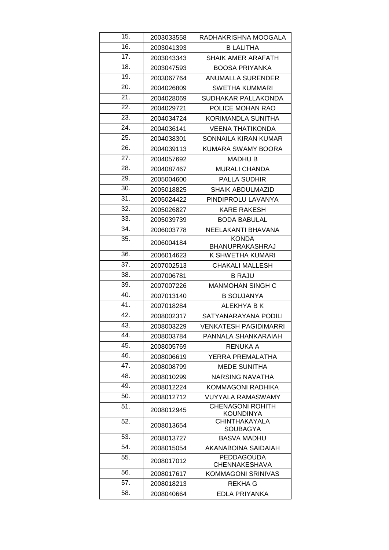| 15. | 2003033558 | RADHAKRISHNA MOOGALA                        |
|-----|------------|---------------------------------------------|
| 16. | 2003041393 | <b>B LALITHA</b>                            |
| 17. | 2003043343 | SHAIK AMER ARAFATH                          |
| 18. | 2003047593 | <b>BOOSA PRIYANKA</b>                       |
| 19. | 2003067764 | <b>ANUMALLA SURENDER</b>                    |
| 20. | 2004026809 | <b>SWETHA KUMMARI</b>                       |
| 21. | 2004028069 | SUDHAKAR PALLAKONDA                         |
| 22. | 2004029721 | POLICE MOHAN RAO                            |
| 23. | 2004034724 | KORIMANDLA SUNITHA                          |
| 24. | 2004036141 | <b>VEENA THATIKONDA</b>                     |
| 25. | 2004038301 | SONNAILA KIRAN KUMAR                        |
| 26. | 2004039113 | KUMARA SWAMY BOORA                          |
| 27. | 2004057692 | <b>MADHU B</b>                              |
| 28. | 2004087467 | <b>MURALI CHANDA</b>                        |
| 29. | 2005004600 | <b>PALLA SUDHIR</b>                         |
| 30. | 2005018825 | <b>SHAIK ABDULMAZID</b>                     |
| 31. | 2005024422 | PINDIPROLU LAVANYA                          |
| 32. | 2005026827 | <b>KARE RAKESH</b>                          |
| 33. | 2005039739 | <b>BODA BABULAL</b>                         |
| 34. | 2006003778 | NEELAKANTI BHAVANA                          |
| 35. | 2006004184 | <b>KONDA</b><br>BHANUPRAKASHRAJ             |
| 36. | 2006014623 | K SHWETHA KUMARI                            |
| 37. | 2007002513 | <b>CHAKALI MALLESH</b>                      |
| 38. | 2007006781 | <b>B RAJU</b>                               |
| 39. | 2007007226 | <b>MANMOHAN SINGH C</b>                     |
| 40. | 2007013140 | <b>B SOUJANYA</b>                           |
| 41. | 2007018284 | ALEKHYA B K                                 |
| 42. | 2008002317 | SATYANARAYANA PODILI                        |
| 43. | 2008003229 | <b>VENKATESH PAGIDIMARRI</b>                |
| 44. | 2008003784 | PANNALA SHANKARAIAH                         |
| 45. | 2008005769 | RENUKA A                                    |
| 46. | 2008006619 | YERRA PREMALATHA                            |
| 47. | 2008008799 | <b>MEDE SUNITHA</b>                         |
| 48. | 2008010299 | <b>NARSING NAVATHA</b>                      |
| 49. | 2008012224 | KOMMAGONI RADHIKA                           |
| 50. | 2008012712 | <b>VUYYALA RAMASWAMY</b>                    |
| 51. | 2008012945 | <b>CHENAGONI ROHITH</b><br><b>KOUNDINYA</b> |
| 52. | 2008013654 | <b>CHINTHAKAYALA</b><br>SOUBAGYA            |
| 53. | 2008013727 | <b>BASVA MADHU</b>                          |
| 54. | 2008015054 | <b>AKANABOINA SAIDAIAH</b>                  |
| 55. | 2008017012 | <b>PEDDAGOUDA</b><br><b>CHENNAKESHAVA</b>   |
| 56. | 2008017617 | <b>KOMMAGONI SRINIVAS</b>                   |
| 57. | 2008018213 | <b>REKHA G</b>                              |
| 58. | 2008040664 | EDLA PRIYANKA                               |
|     |            |                                             |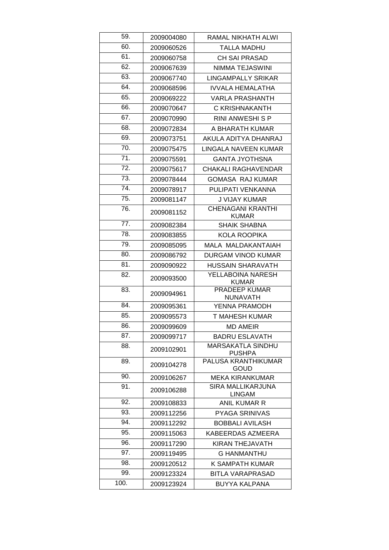| 59.  | 2009004080 | RAMAL NIKHATH ALWI                        |
|------|------------|-------------------------------------------|
| 60.  | 2009060526 | <b>TALLA MADHU</b>                        |
| 61.  | 2009060758 | <b>CH SAI PRASAD</b>                      |
| 62.  | 2009067639 | NIMMA TEJASWINI                           |
| 63.  | 2009067740 | <b>LINGAMPALLY SRIKAR</b>                 |
| 64.  | 2009068596 | <b>IVVALA HEMALATHA</b>                   |
| 65.  | 2009069222 | <b>VARLA PRASHANTH</b>                    |
| 66.  | 2009070647 | C KRISHNAKANTH                            |
| 67.  | 2009070990 | RINI ANWESHI S P                          |
| 68.  | 2009072834 | A BHARATH KUMAR                           |
| 69.  | 2009073751 | AKULA ADITYA DHANRAJ                      |
| 70.  | 2009075475 | LINGALA NAVEEN KUMAR                      |
| 71.  | 2009075591 | <b>GANTA JYOTHSNA</b>                     |
| 72.  | 2009075617 | CHAKALI RAGHAVENDAR                       |
| 73.  | 2009078444 | <b>GOMASA RAJ KUMAR</b>                   |
| 74.  | 2009078917 | PULIPATI VENKANNA                         |
| 75.  | 2009081147 | <b>J VIJAY KUMAR</b>                      |
| 76.  | 2009081152 | <b>CHENAGANI KRANTHI</b><br><b>KUMAR</b>  |
| 77.  | 2009082384 | <b>SHAIK SHABNA</b>                       |
| 78.  | 2009083855 | <b>KOLA ROOPIKA</b>                       |
| 79.  | 2009085095 | MALA MALDAKANTAIAH                        |
| 80.  | 2009086792 | DURGAM VINOD KUMAR                        |
| 81.  | 2009090922 | <b>HUSSAIN SHARAVATH</b>                  |
| 82.  | 2009093500 | YELLABOINA NARESH<br><b>KUMAR</b>         |
| 83.  | 2009094961 | <b>PRADEEP KUMAR</b><br><b>NUNAVATH</b>   |
| 84.  | 2009095361 | YENNA PRAMODH                             |
| 85.  | 2009095573 | <b>T MAHESH KUMAR</b>                     |
| 86.  | 2009099609 | <b>MD AMEIR</b>                           |
| 87.  | 2009099717 | <b>BADRU ESLAVATH</b>                     |
| 88.  | 2009102901 | <b>MARSAKATLA SINDHU</b><br><b>PUSHPA</b> |
| 89.  | 2009104278 | <b>PALUSA KRANTHIKUMAR</b><br><b>GOUD</b> |
| 90.  | 2009106267 | <b>MEKA KIRANKUMAR</b>                    |
| 91.  | 2009106288 | SIRA MALLIKARJUNA<br><b>LINGAM</b>        |
| 92.  | 2009108833 | <b>ANIL KUMAR R</b>                       |
| 93.  | 2009112256 | <b>PYAGA SRINIVAS</b>                     |
| 94.  | 2009112292 | <b>BOBBALI AVILASH</b>                    |
| 95.  | 2009115063 | KABEERDAS AZMEERA                         |
| 96.  | 2009117290 | KIRAN THEJAVATH                           |
| 97.  | 2009119495 | <b>G HANMANTHU</b>                        |
| 98.  | 2009120512 | K SAMPATH KUMAR                           |
| 99.  | 2009123324 | BITLA VARAPRASAD                          |
| 100. | 2009123924 | <b>BUYYA KALPANA</b>                      |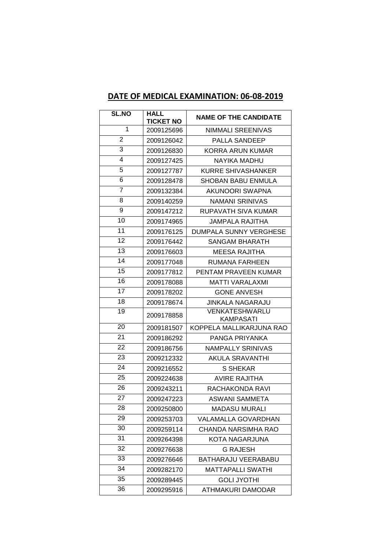# **DATE OF MEDICAL EXAMINATION: 06-08-2019**

| <b>SL.NO</b> | <b>HALL</b><br><b>TICKET NO</b> | <b>NAME OF THE CANDIDATE</b>       |
|--------------|---------------------------------|------------------------------------|
| 1            | 2009125696                      | NIMMALI SREENIVAS                  |
| 2            | 2009126042                      | <b>PALLA SANDEEP</b>               |
| 3            | 2009126830                      | <b>KORRA ARUN KUMAR</b>            |
| 4            | 2009127425                      | NAYIKA MADHU                       |
| 5            | 2009127787                      | KURRE SHIVASHANKER                 |
| 6            | 2009128478                      | <b>SHOBAN BABU ENMULA</b>          |
| 7            | 2009132384                      | AKUNOORI SWAPNA                    |
| 8            | 2009140259                      | <b>NAMANI SRINIVAS</b>             |
| 9            | 2009147212                      | RUPAVATH SIVA KUMAR                |
| 10           | 2009174965                      | JAMPALA RAJITHA                    |
| 11           | 2009176125                      | DUMPALA SUNNY VERGHESE             |
| 12           | 2009176442                      | SANGAM BHARATH                     |
| 13           | 2009176603                      | MEESA RAJITHA                      |
| 14           | 2009177048                      | RUMANA FARHEEN                     |
| 15           | 2009177812                      | PENTAM PRAVEEN KUMAR               |
| 16           | 2009178088                      | <b>MATTI VARALAXMI</b>             |
| 17           | 2009178202                      | <b>GONE ANVESH</b>                 |
| 18           | 2009178674                      | <b>JINKALA NAGARAJU</b>            |
| 19           | 2009178858                      | <b>VENKATESHWARLU</b><br>KAMPASATI |
| 20           | 2009181507                      | KOPPELA MALLIKARJUNA RAO           |
| 21           | 2009186292                      | PANGA PRIYANKA                     |
| 22           | 2009186756                      | <b>NAMPALLY SRINIVAS</b>           |
| 23           | 2009212332                      | AKULA SRAVANTHI                    |
| 24           | 2009216552                      | S SHEKAR                           |
| 25           | 2009224638                      | <b>AVIRE RAJITHA</b>               |
| 26           | 2009243211                      | RACHAKONDA RAVI                    |
| 27           | 2009247223                      | <b>ASWANI SAMMETA</b>              |
| 28           | 2009250800                      | <b>MADASU MURALI</b>               |
| 29           | 2009253703                      | VALAMALLA GOVARDHAN                |
| 30           | 2009259114                      | CHANDA NARSIMHA RAO                |
| 31           | 2009264398                      | KOTA NAGARJUNA                     |
| 32           | 2009276638                      | <b>G RAJESH</b>                    |
| 33           | 2009276646                      | BATHARAJU VEERABABU                |
| 34           | 2009282170                      | <b>MATTAPALLI SWATHI</b>           |
| 35           | 2009289445                      | <b>GOLI JYOTHI</b>                 |
| 36           | 2009295916                      | ATHMAKURI DAMODAR                  |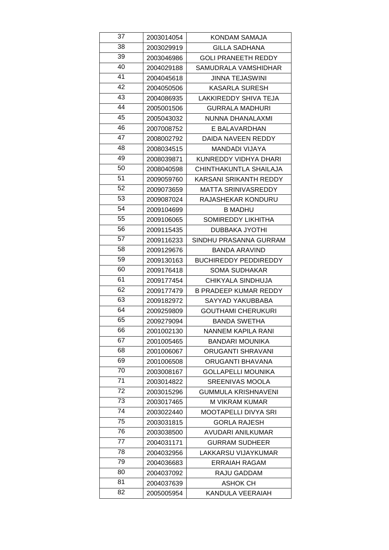| 37 | 2003014054 | KONDAM SAMAJA                |
|----|------------|------------------------------|
| 38 | 2003029919 | GILLA SADHANA                |
| 39 | 2003046986 | <b>GOLI PRANEETH REDDY</b>   |
| 40 | 2004029188 | SAMUDRALA VAMSHIDHAR         |
| 41 | 2004045618 | <b>JINNA TEJASWINI</b>       |
| 42 | 2004050506 | <b>KASARLA SURESH</b>        |
| 43 | 2004086935 | LAKKIREDDY SHIVA TEJA        |
| 44 | 2005001506 | <b>GURRALA MADHURI</b>       |
| 45 | 2005043032 | NUNNA DHANALAXMI             |
| 46 | 2007008752 | E BALAVARDHAN                |
| 47 | 2008002792 | DAIDA NAVEEN REDDY           |
| 48 | 2008034515 | MANDADI VIJAYA               |
| 49 | 2008039871 | KUNREDDY VIDHYA DHARI        |
| 50 | 2008040598 | CHINTHAKUNTLA SHAILAJA       |
| 51 | 2009059760 | KARSANI SRIKANTH REDDY       |
| 52 | 2009073659 | MATTA SRINIVASREDDY          |
| 53 | 2009087024 | RAJASHEKAR KONDURU           |
| 54 | 2009104699 | B MADHU                      |
| 55 | 2009106065 | <b>SOMIREDDY LIKHITHA</b>    |
| 56 | 2009115435 | <b>DUBBAKA JYOTHI</b>        |
| 57 | 2009116233 | SINDHU PRASANNA GURRAM       |
| 58 | 2009129676 | <b>BANDA ARAVIND</b>         |
| 59 | 2009130163 | <b>BUCHIREDDY PEDDIREDDY</b> |
| 60 | 2009176418 | SOMA SUDHAKAR                |
| 61 | 2009177454 | CHIKYALA SINDHUJA            |
| 62 | 2009177479 | <b>B PRADEEP KUMAR REDDY</b> |
| 63 | 2009182972 | SAYYAD YAKUBBABA             |
| 64 | 2009259809 | <b>GOUTHAMI CHERUKURI</b>    |
| 65 | 2009279094 | <b>BANDA SWETHA</b>          |
| 66 | 2001002130 | NANNEM KAPILA RANI           |
| 67 | 2001005465 | BANDARI MOUNIKA              |
| 68 | 2001006067 | <b>ORUGANTI SHRAVANI</b>     |
| 69 | 2001006508 | ORUGANTI BHAVANA             |
| 70 | 2003008167 | <b>GOLLAPELLI MOUNIKA</b>    |
| 71 | 2003014822 | <b>SREENIVAS MOOLA</b>       |
| 72 | 2003015296 | <b>GUMMULA KRISHNAVENI</b>   |
| 73 | 2003017465 | <b>M VIKRAM KUMAR</b>        |
| 74 | 2003022440 | <b>MOOTAPELLI DIVYA SRI</b>  |
| 75 | 2003031815 | <b>GORLA RAJESH</b>          |
| 76 | 2003038500 | AVUDARI ANILKUMAR            |
| 77 |            |                              |
|    | 2004031171 | <b>GURRAM SUDHEER</b>        |
| 78 | 2004032956 | LAKKARSU VIJAYKUMAR          |
| 79 | 2004036683 | <b>ERRAIAH RAGAM</b>         |
| 80 | 2004037092 | RAJU GADDAM                  |
| 81 | 2004037639 | ASHOK CH                     |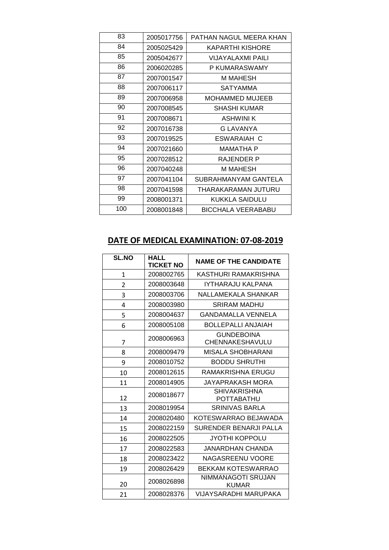| 83  | 2005017756 | PATHAN NAGUL MEERA KHAN |
|-----|------------|-------------------------|
| 84  | 2005025429 | <b>KAPARTHI KISHORE</b> |
| 85  | 2005042677 | VIJAYALAXMI PAILI       |
| 86  | 2006020285 | P KUMARASWAMY           |
| 87  | 2007001547 | M MAHESH                |
| 88  | 2007006117 | SATYAMMA                |
| 89  | 2007006958 | <b>MOHAMMED MUJEEB</b>  |
| 90  | 2007008545 | SHASHI KUMAR            |
| 91  | 2007008671 | <b>ASHWINI K</b>        |
| 92  | 2007016738 | G LAVANYA               |
| 93  | 2007019525 | ESWARAIAH C             |
| 94  | 2007021660 | MAMATHA P               |
| 95  | 2007028512 | RAJENDER P              |
| 96  | 2007040248 | M MAHESH                |
| 97  | 2007041104 | SUBRAHMANYAM GANTELA    |
| 98  | 2007041598 | THARAKARAMAN JUTURU     |
| 99  | 2008001371 | KUKKLA SAIDULU          |
| 100 | 2008001848 | BICCHALA VEERABABU      |

# **DATE OF MEDICAL EXAMINATION: 07-08-2019**

| <b>SL.NO</b> | <b>HALL</b><br><b>TICKET NO</b> | <b>NAME OF THE CANDIDATE</b>         |
|--------------|---------------------------------|--------------------------------------|
| $\mathbf{1}$ | 2008002765                      | KASTHURI RAMAKRISHNA                 |
| 2            | 2008003648                      | IYTHARAJU KALPANA                    |
| 3            | 2008003706                      | NALLAMEKALA SHANKAR                  |
| 4            | 2008003980                      | <b>SRIRAM MADHU</b>                  |
| 5            | 2008004637                      | GANDAMALLA VENNELA                   |
| 6            | 2008005108                      | BOLLEPALLI ANJAIAH                   |
| 7            | 2008006963                      | <b>GUNDEBOINA</b><br>CHENNAKESHAVULU |
| 8            | 2008009479                      | <b>MISALA SHOBHARANI</b>             |
| 9            | 2008010752                      | <b>BODDU SHRUTHI</b>                 |
| 10           | 2008012615                      | RAMAKRISHNA ERUGU                    |
| 11           | 2008014905                      | JAYAPRAKASH MORA                     |
| 12           | 2008018677                      | <b>SHIVAKRISHNA</b><br>POTTABATHU    |
| 13           | 2008019954                      | <b>SRINIVAS BARLA</b>                |
| 14           | 2008020480                      | KOTESWARRAO BEJAWADA                 |
| 15           | 2008022159                      | SURENDER BENARJI PALLA               |
| 16           | 2008022505                      | JYOTHI KOPPOLU                       |
| 17           | 2008022583                      | JANARDHAN CHANDA                     |
| 18           | 2008023422                      | NAGASREENU VOORE                     |
| 19           | 2008026429                      | <b>BEKKAM KOTESWARRAO</b>            |
| 20           | 2008026898                      | NIMMANAGOTI SRUJAN<br><b>KUMAR</b>   |
| 21           | 2008028376                      | VIJAYSARADHI MARUPAKA                |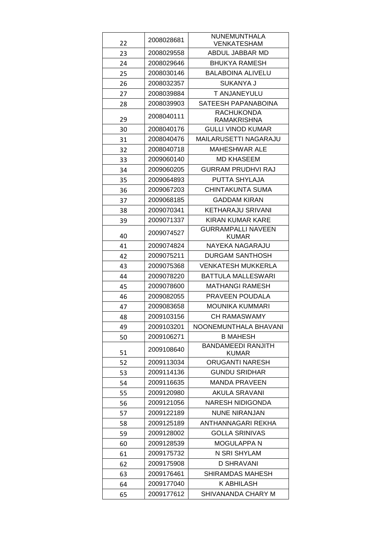| 22<br>VENKATESHAM<br>ABDUL JABBAR MD<br>2008029558<br>23<br><b>BHUKYA RAMESH</b><br>2008029646<br>24<br>2008030146<br><b>BALABOINA ALIVELU</b><br>25<br>SUKANYA J<br>2008032357<br>26<br>T ANJANEYULU<br>2008039884<br>27<br>SATEESH PAPANABOINA<br>2008039903 |
|----------------------------------------------------------------------------------------------------------------------------------------------------------------------------------------------------------------------------------------------------------------|
|                                                                                                                                                                                                                                                                |
|                                                                                                                                                                                                                                                                |
|                                                                                                                                                                                                                                                                |
|                                                                                                                                                                                                                                                                |
|                                                                                                                                                                                                                                                                |
|                                                                                                                                                                                                                                                                |
| 28                                                                                                                                                                                                                                                             |
| <b>RACHUKONDA</b><br>2008040111<br>29<br><b>RAMAKRISHNA</b>                                                                                                                                                                                                    |
| <b>GULLI VINOD KUMAR</b><br>2008040176<br>30                                                                                                                                                                                                                   |
| <b>MAILARUSETTI NAGARAJU</b><br>2008040476<br>31                                                                                                                                                                                                               |
| 2008040718<br>MAHESHWAR ALE<br>32                                                                                                                                                                                                                              |
| 2009060140<br><b>MD KHASEEM</b><br>33                                                                                                                                                                                                                          |
| <b>GURRAM PRUDHVI RAJ</b><br>2009060205<br>34                                                                                                                                                                                                                  |
| 2009064893<br>PUTTA SHYLAJA<br>35                                                                                                                                                                                                                              |
| 2009067203<br>CHINTAKUNTA SUMA<br>36                                                                                                                                                                                                                           |
| <b>GADDAM KIRAN</b><br>2009068185<br>37                                                                                                                                                                                                                        |
| <b>KETHARAJU SRIVANI</b><br>2009070341<br>38                                                                                                                                                                                                                   |
| 2009071337<br><b>KIRAN KUMAR KARE</b><br>39                                                                                                                                                                                                                    |
| <b>GURRAMPALLI NAVEEN</b><br>2009074527<br>40<br>KUMAR                                                                                                                                                                                                         |
| 2009074824<br>NAYEKA NAGARAJU<br>41                                                                                                                                                                                                                            |
| 2009075211<br>DURGAM SANTHOSH<br>42                                                                                                                                                                                                                            |
| 2009075368<br>VENKATESH MUKKERLA<br>43                                                                                                                                                                                                                         |
| <b>BATTULA MALLESWARI</b><br>2009078220<br>44                                                                                                                                                                                                                  |
| <b>MATHANGI RAMESH</b><br>2009078600<br>45                                                                                                                                                                                                                     |
| PRAVEEN POUDALA<br>2009082055<br>46                                                                                                                                                                                                                            |
| <b>MOUNIKA KUMMARI</b><br>2009083658<br>47                                                                                                                                                                                                                     |
| <b>CH RAMASWAMY</b><br>2009103156<br>48                                                                                                                                                                                                                        |
| 49<br>2009103201<br>NOONEMUNTHALA BHAVANI                                                                                                                                                                                                                      |
| <b>B MAHESH</b><br>2009106271<br>50                                                                                                                                                                                                                            |
| <b>BANDAMEEDI RANJITH</b>                                                                                                                                                                                                                                      |
| 2009108640<br>51<br>KUMAR                                                                                                                                                                                                                                      |
| ORUGANTI NARESH<br>2009113034<br>52                                                                                                                                                                                                                            |
| <b>GUNDU SRIDHAR</b><br>2009114136<br>53                                                                                                                                                                                                                       |
| 2009116635<br><b>MANDA PRAVEEN</b><br>54                                                                                                                                                                                                                       |
| <b>AKULA SRAVANI</b><br>2009120980<br>55                                                                                                                                                                                                                       |
| 2009121056<br>NARESH NIDIGONDA<br>56                                                                                                                                                                                                                           |
| 2009122189<br><b>NUNE NIRANJAN</b><br>57                                                                                                                                                                                                                       |
| 2009125189<br>ANTHANNAGARI REKHA<br>58                                                                                                                                                                                                                         |
| <b>GOLLA SRINIVAS</b><br>2009128002<br>59                                                                                                                                                                                                                      |
| <b>MOGULAPPA N</b><br>2009128539<br>60                                                                                                                                                                                                                         |
| N SRI SHYLAM<br>2009175732<br>61                                                                                                                                                                                                                               |
| D SHRAVANI<br>2009175908<br>62                                                                                                                                                                                                                                 |
| SHIRAMDAS MAHESH<br>2009176461<br>63                                                                                                                                                                                                                           |
| 2009177040<br>K ABHILASH<br>64                                                                                                                                                                                                                                 |
| 2009177612<br>SHIVANANDA CHARY M<br>65                                                                                                                                                                                                                         |